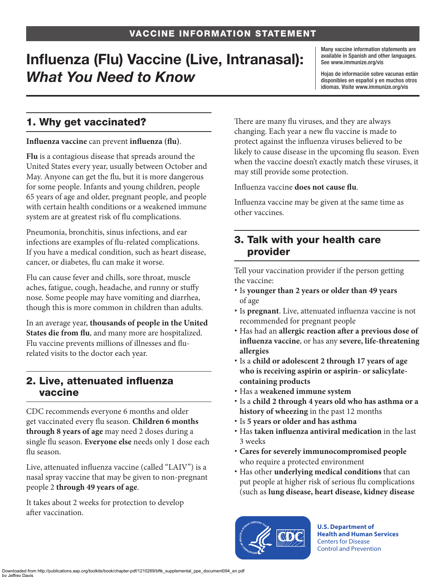# Influenza (Flu) Vaccine (Live, Intranasal): *What You Need to Know*

Many vaccine information statements are available in Spanish and other languages. See [www.immunize.org/vis](http://www.immunize.org/vis)

Hojas de información sobre vacunas están disponibles en español y en muchos otros idiomas. Visite [www.immunize.org/vis](http://www.immunize.org/vis)

# 1. Why get vaccinated?

#### **Influenza vaccine** can prevent **influenza (flu)**.

**Flu** is a contagious disease that spreads around the United States every year, usually between October and May. Anyone can get the flu, but it is more dangerous for some people. Infants and young children, people 65 years of age and older, pregnant people, and people with certain health conditions or a weakened immune system are at greatest risk of flu complications.

Pneumonia, bronchitis, sinus infections, and ear infections are examples of flu-related complications. If you have a medical condition, such as heart disease, cancer, or diabetes, flu can make it worse.

Flu can cause fever and chills, sore throat, muscle aches, fatigue, cough, headache, and runny or stuffy nose. Some people may have vomiting and diarrhea, though this is more common in children than adults.

In an average year, **thousands of people in the United States die from flu**, and many more are hospitalized. Flu vaccine prevents millions of illnesses and flurelated visits to the doctor each year.

#### 2. Live, attenuated influenza vaccine

CDC recommends everyone 6 months and older get vaccinated every flu season. **Children 6 months through 8 years of age** may need 2 doses during a single flu season. **Everyone else** needs only 1 dose each flu season.

Live, attenuated influenza vaccine (called "LAIV") is a nasal spray vaccine that may be given to non-pregnant people 2 **through 49 years of age**.

It takes about 2 weeks for protection to develop after vaccination.

There are many flu viruses, and they are always changing. Each year a new flu vaccine is made to protect against the influenza viruses believed to be likely to cause disease in the upcoming flu season. Even when the vaccine doesn't exactly match these viruses, it may still provide some protection.

Influenza vaccine **does not cause flu**.

Influenza vaccine may be given at the same time as other vaccines.

### 3. Talk with your health care provider

Tell your vaccination provider if the person getting the vaccine:

- Is **younger than 2 years or older than 49 years**  of age
- Is **pregnant**. Live, attenuated influenza vaccine is not recommended for pregnant people
- Has had an **allergic reaction after a previous dose of influenza vaccine**, or has any **severe, life-threatening allergies**
- Is a **child or adolescent 2 through 17 years of age who is receiving aspirin or aspirin- or salicylatecontaining products**
- Has a **weakened immune system**
- Is a **child 2 through 4 years old who has asthma or a history of wheezing** in the past 12 months
- Is **5 years or older and has asthma**
- Has **taken influenza antiviral medication** in the last 3 weeks
- **Cares for severely immunocompromised people**  who require a protected environment
- Has other **underlying medical conditions** that can put people at higher risk of serious flu complications (such as **lung disease, heart disease, kidney disease**



**U.S. Department of Health and Human Services**  Centers for Disease Control and Prevention